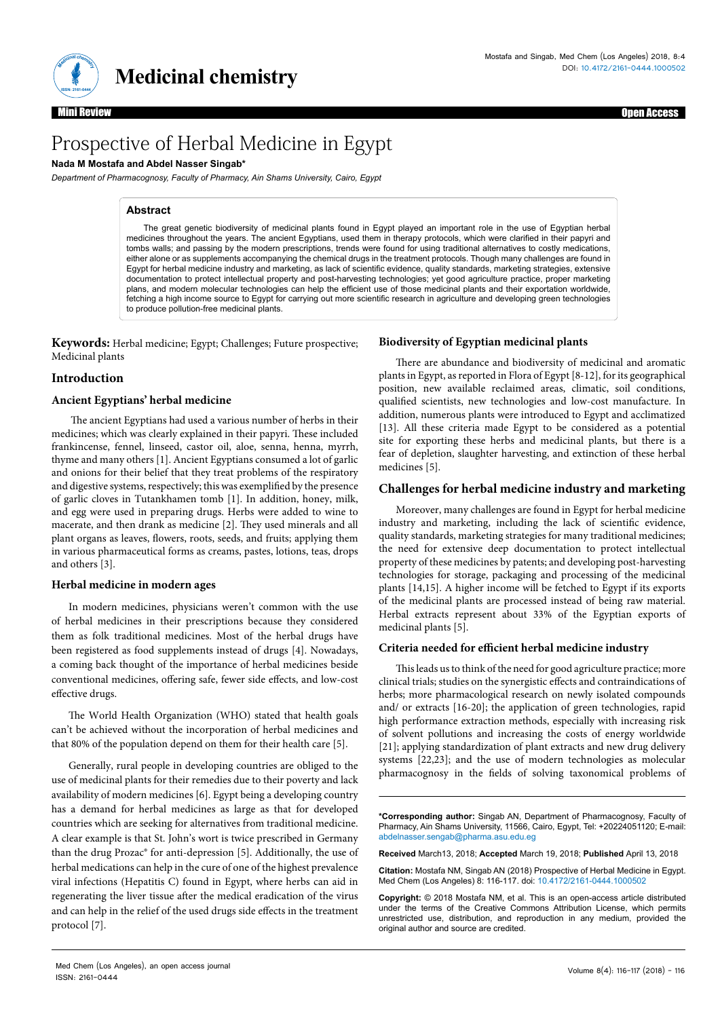

# Prospective of Herbal Medicine in Egypt

## **Nada M Mostafa and Abdel Nasser Singab\***

*Department of Pharmacognosy, Faculty of Pharmacy, Ain Shams University, Cairo, Egypt*

## **Abstract**

The great genetic biodiversity of medicinal plants found in Egypt played an important role in the use of Egyptian herbal medicines throughout the years. The ancient Egyptians, used them in therapy protocols, which were clarified in their papyri and tombs walls; and passing by the modern prescriptions, trends were found for using traditional alternatives to costly medications, either alone or as supplements accompanying the chemical drugs in the treatment protocols. Though many challenges are found in Egypt for herbal medicine industry and marketing, as lack of scientific evidence, quality standards, marketing strategies, extensive documentation to protect intellectual property and post-harvesting technologies; yet good agriculture practice, proper marketing plans, and modern molecular technologies can help the efficient use of those medicinal plants and their exportation worldwide, fetching a high income source to Egypt for carrying out more scientific research in agriculture and developing green technologies to produce pollution-free medicinal plants.

**Keywords:** Herbal medicine; Egypt; Challenges; Future prospective; Medicinal plants

### **Introduction**

#### **Ancient Egyptians' herbal medicine**

 The ancient Egyptians had used a various number of herbs in their medicines; which was clearly explained in their papyri. These included frankincense, fennel, linseed, castor oil, aloe, senna, henna, myrrh, thyme and many others [1]. Ancient Egyptians consumed a lot of garlic and onions for their belief that they treat problems of the respiratory and digestive systems, respectively; this was exemplified by the presence of garlic cloves in Tutankhamen tomb [1]. In addition, honey, milk, and egg were used in preparing drugs. Herbs were added to wine to macerate, and then drank as medicine [2]. They used minerals and all plant organs as leaves, flowers, roots, seeds, and fruits; applying them in various pharmaceutical forms as creams, pastes, lotions, teas, drops and others [3].

#### **Herbal medicine in modern ages**

In modern medicines, physicians weren't common with the use of herbal medicines in their prescriptions because they considered them as folk traditional medicines. Most of the herbal drugs have been registered as food supplements instead of drugs [4]. Nowadays, a coming back thought of the importance of herbal medicines beside conventional medicines, offering safe, fewer side effects, and low-cost effective drugs.

The World Health Organization (WHO) stated that health goals can't be achieved without the incorporation of herbal medicines and that 80% of the population depend on them for their health care [5].

Generally, rural people in developing countries are obliged to the use of medicinal plants for their remedies due to their poverty and lack availability of modern medicines [6]. Egypt being a developing country has a demand for herbal medicines as large as that for developed countries which are seeking for alternatives from traditional medicine. A clear example is that St. John's wort is twice prescribed in Germany than the drug Prozac® for anti-depression [5]. Additionally, the use of herbal medications can help in the cure of one of the highest prevalence viral infections (Hepatitis C) found in Egypt, where herbs can aid in regenerating the liver tissue after the medical eradication of the virus and can help in the relief of the used drugs side effects in the treatment protocol [7].

#### **Biodiversity of Egyptian medicinal plants**

There are abundance and biodiversity of medicinal and aromatic plants in Egypt, as reported in Flora of Egypt [8-12], for its geographical position, new available reclaimed areas, climatic, soil conditions, qualified scientists, new technologies and low-cost manufacture. In addition, numerous plants were introduced to Egypt and acclimatized [13]. All these criteria made Egypt to be considered as a potential site for exporting these herbs and medicinal plants, but there is a fear of depletion, slaughter harvesting, and extinction of these herbal medicines [5].

#### **Challenges for herbal medicine industry and marketing**

Moreover, many challenges are found in Egypt for herbal medicine industry and marketing, including the lack of scientific evidence, quality standards, marketing strategies for many traditional medicines; the need for extensive deep documentation to protect intellectual property of these medicines by patents; and developing post-harvesting technologies for storage, packaging and processing of the medicinal plants [14,15]. A higher income will be fetched to Egypt if its exports of the medicinal plants are processed instead of being raw material. Herbal extracts represent about 33% of the Egyptian exports of medicinal plants [5].

#### **Criteria needed for efficient herbal medicine industry**

This leads us to think of the need for good agriculture practice; more clinical trials; studies on the synergistic effects and contraindications of herbs; more pharmacological research on newly isolated compounds and/ or extracts [16-20]; the application of green technologies, rapid high performance extraction methods, especially with increasing risk of solvent pollutions and increasing the costs of energy worldwide [21]; applying standardization of plant extracts and new drug delivery systems [22,23]; and the use of modern technologies as molecular pharmacognosy in the fields of solving taxonomical problems of

**\*Corresponding author:** Singab AN, Department of Pharmacognosy, Faculty of Pharmacy, Ain Shams University, 11566, Cairo, Egypt, Tel: +20224051120; E-mail: abdelnasser.sengab@pharma.asu.edu.eg

**Received** March13, 2018; **Accepted** March 19, 2018; **Published** April 13, 2018

**Citation:** Mostafa NM, Singab AN (2018) Prospective of Herbal Medicine in Egypt. Med Chem (Los Angeles) 8: 116-117. doi: 10.4172/2161-0444.1000502

**Copyright:** © 2018 Mostafa NM, et al. This is an open-access article distributed under the terms of the Creative Commons Attribution License, which permits unrestricted use, distribution, and reproduction in any medium, provided the original author and source are credited.